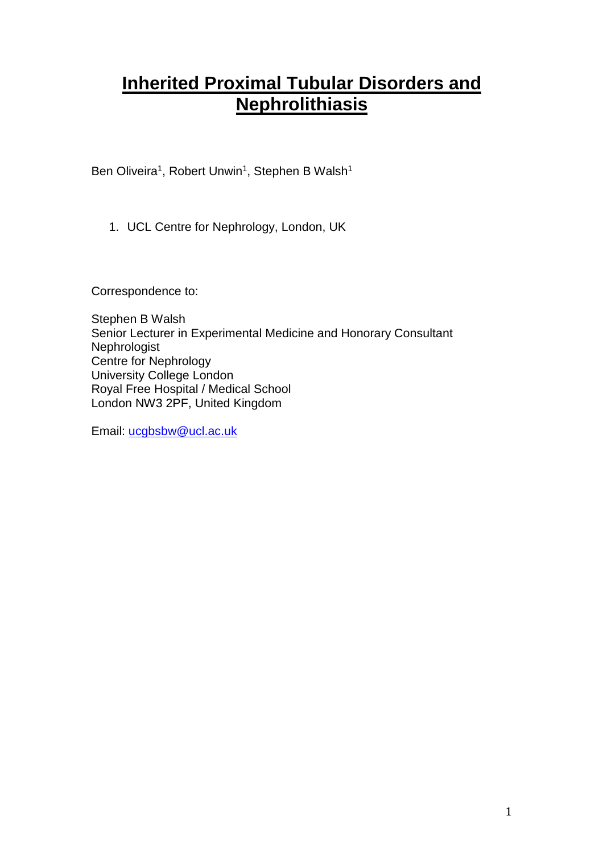# **Inherited Proximal Tubular Disorders and Nephrolithiasis**

Ben Oliveira<sup>1</sup>, Robert Unwin<sup>1</sup>, Stephen B Walsh<sup>1</sup>

1. UCL Centre for Nephrology, London, UK

Correspondence to:

Stephen B Walsh Senior Lecturer in Experimental Medicine and Honorary Consultant Nephrologist Centre for Nephrology University College London Royal Free Hospital / Medical School London NW3 2PF, United Kingdom

Email: [ucgbsbw@ucl.ac.uk](mailto:ucgbsbw@ucl.ac.uk)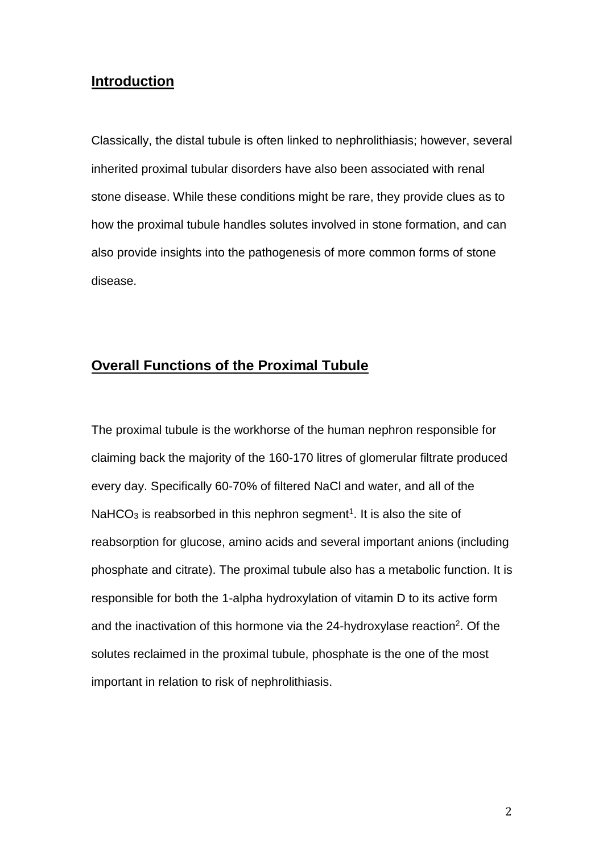# **Introduction**

Classically, the distal tubule is often linked to nephrolithiasis; however, several inherited proximal tubular disorders have also been associated with renal stone disease. While these conditions might be rare, they provide clues as to how the proximal tubule handles solutes involved in stone formation, and can also provide insights into the pathogenesis of more common forms of stone disease.

# **Overall Functions of the Proximal Tubule**

The proximal tubule is the workhorse of the human nephron responsible for claiming back the majority of the 160-170 litres of glomerular filtrate produced every day. Specifically 60-70% of filtered NaCl and water, and all of the NaHCO<sub>3</sub> is reabsorbed in this nephron segment<sup>1</sup>. It is also the site of reabsorption for glucose, amino acids and several important anions (including phosphate and citrate). The proximal tubule also has a metabolic function. It is responsible for both the 1-alpha hydroxylation of vitamin D to its active form and the inactivation of this hormone via the 24-hydroxylase reaction<sup>2</sup>. Of the solutes reclaimed in the proximal tubule, phosphate is the one of the most important in relation to risk of nephrolithiasis.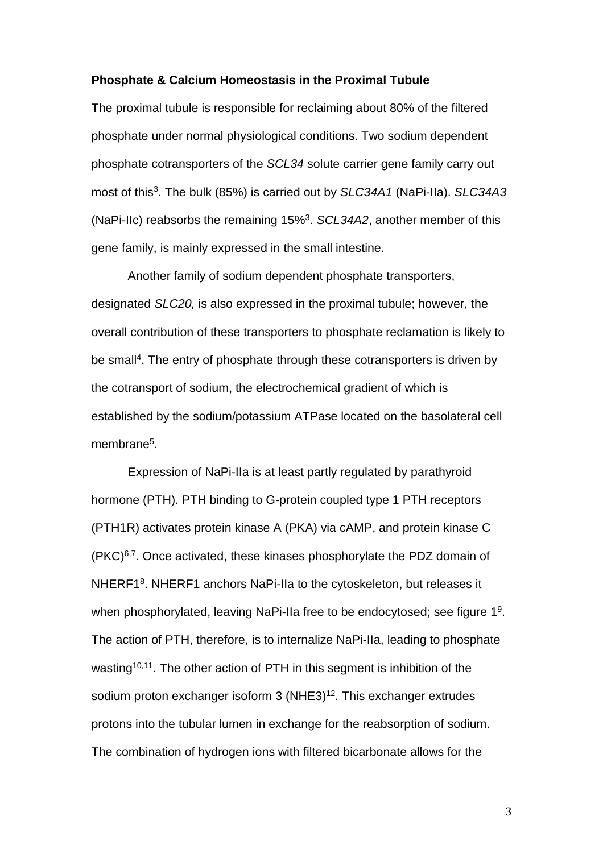#### **Phosphate & Calcium Homeostasis in the Proximal Tubule**

The proximal tubule is responsible for reclaiming about 80% of the filtered phosphate under normal physiological conditions. Two sodium dependent phosphate cotransporters of the *SCL34* solute carrier gene family carry out most of this<sup>3</sup> . The bulk (85%) is carried out by *SLC34A1* (NaPi-IIa). *SLC34A3* (NaPi-IIc) reabsorbs the remaining 15%<sup>3</sup> . *SCL34A2*, another member of this gene family, is mainly expressed in the small intestine.

Another family of sodium dependent phosphate transporters, designated *SLC20,* is also expressed in the proximal tubule; however, the overall contribution of these transporters to phosphate reclamation is likely to be small<sup>4</sup>. The entry of phosphate through these cotransporters is driven by the cotransport of sodium, the electrochemical gradient of which is established by the sodium/potassium ATPase located on the basolateral cell membrane<sup>5</sup>.

Expression of NaPi-IIa is at least partly regulated by parathyroid hormone (PTH). PTH binding to G-protein coupled type 1 PTH receptors (PTH1R) activates protein kinase A (PKA) via cAMP, and protein kinase C (PKC)6,7. Once activated, these kinases phosphorylate the PDZ domain of NHERF1<sup>8</sup>. NHERF1 anchors NaPi-Ila to the cytoskeleton, but releases it when phosphorylated, leaving NaPi-IIa free to be endocytosed; see figure 1<sup>9</sup>. The action of PTH, therefore, is to internalize NaPi-IIa, leading to phosphate wasting<sup>10,11</sup>. The other action of PTH in this segment is inhibition of the sodium proton exchanger isoform 3 (NHE3)<sup>12</sup>. This exchanger extrudes protons into the tubular lumen in exchange for the reabsorption of sodium. The combination of hydrogen ions with filtered bicarbonate allows for the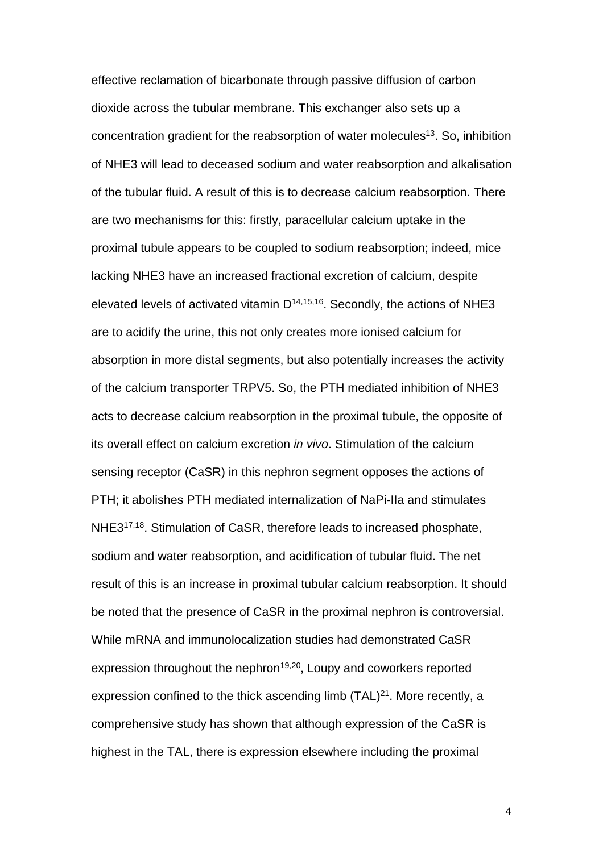effective reclamation of bicarbonate through passive diffusion of carbon dioxide across the tubular membrane. This exchanger also sets up a concentration gradient for the reabsorption of water molecules<sup>13</sup>. So, inhibition of NHE3 will lead to deceased sodium and water reabsorption and alkalisation of the tubular fluid. A result of this is to decrease calcium reabsorption. There are two mechanisms for this: firstly, paracellular calcium uptake in the proximal tubule appears to be coupled to sodium reabsorption; indeed, mice lacking NHE3 have an increased fractional excretion of calcium, despite elevated levels of activated vitamin  $D^{14,15,16}$ . Secondly, the actions of NHE3 are to acidify the urine, this not only creates more ionised calcium for absorption in more distal segments, but also potentially increases the activity of the calcium transporter TRPV5. So, the PTH mediated inhibition of NHE3 acts to decrease calcium reabsorption in the proximal tubule, the opposite of its overall effect on calcium excretion *in vivo*. Stimulation of the calcium sensing receptor (CaSR) in this nephron segment opposes the actions of PTH; it abolishes PTH mediated internalization of NaPi-IIa and stimulates NHE317,18. Stimulation of CaSR, therefore leads to increased phosphate, sodium and water reabsorption, and acidification of tubular fluid. The net result of this is an increase in proximal tubular calcium reabsorption. It should be noted that the presence of CaSR in the proximal nephron is controversial. While mRNA and immunolocalization studies had demonstrated CaSR expression throughout the nephron<sup>19,20</sup>, Loupy and coworkers reported expression confined to the thick ascending limb  $(TAL)^{21}$ . More recently, a comprehensive study has shown that although expression of the CaSR is highest in the TAL, there is expression elsewhere including the proximal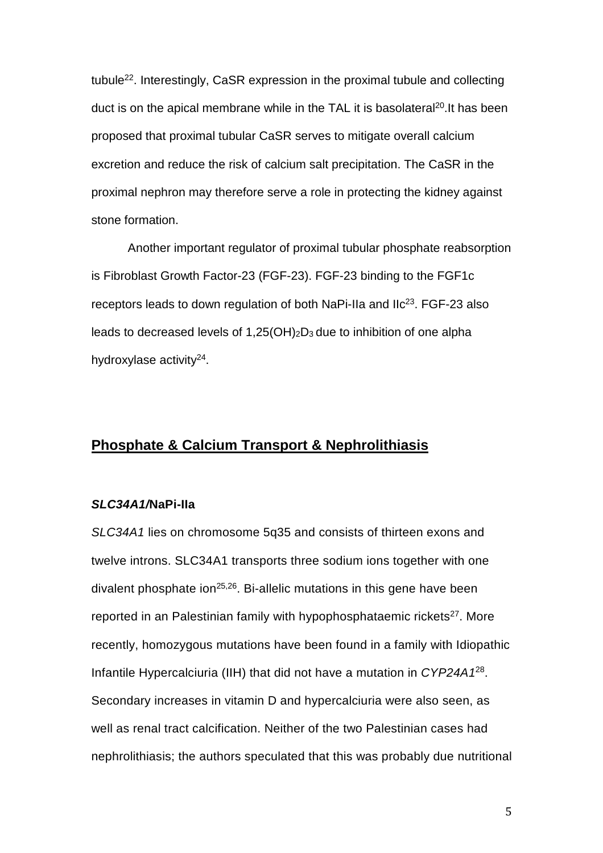tubule<sup>22</sup>. Interestingly, CaSR expression in the proximal tubule and collecting duct is on the apical membrane while in the TAL it is basolateral<sup>20</sup>. It has been proposed that proximal tubular CaSR serves to mitigate overall calcium excretion and reduce the risk of calcium salt precipitation. The CaSR in the proximal nephron may therefore serve a role in protecting the kidney against stone formation.

Another important regulator of proximal tubular phosphate reabsorption is Fibroblast Growth Factor-23 (FGF-23). FGF-23 binding to the FGF1c receptors leads to down regulation of both NaPi-IIa and IIc<sup>23</sup>. FGF-23 also leads to decreased levels of  $1,25(OH)_2D_3$  due to inhibition of one alpha hydroxylase activity<sup>24</sup>.

# **Phosphate & Calcium Transport & Nephrolithiasis**

#### *SLC34A1/***NaPi-IIa**

*SLC34A1* lies on chromosome 5q35 and consists of thirteen exons and twelve introns. SLC34A1 transports three sodium ions together with one divalent phosphate ion<sup>25,26</sup>. Bi-allelic mutations in this gene have been reported in an Palestinian family with hypophosphataemic rickets<sup>27</sup>. More recently, homozygous mutations have been found in a family with Idiopathic Infantile Hypercalciuria (IIH) that did not have a mutation in *CYP24A1*<sup>28</sup> . Secondary increases in vitamin D and hypercalciuria were also seen, as well as renal tract calcification. Neither of the two Palestinian cases had nephrolithiasis; the authors speculated that this was probably due nutritional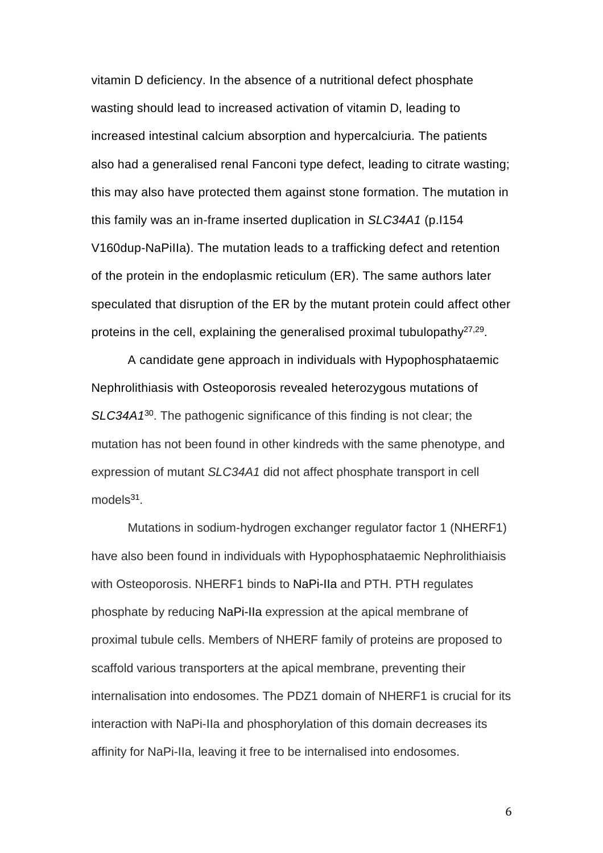vitamin D deficiency. In the absence of a nutritional defect phosphate wasting should lead to increased activation of vitamin D, leading to increased intestinal calcium absorption and hypercalciuria. The patients also had a generalised renal Fanconi type defect, leading to citrate wasting; this may also have protected them against stone formation. The mutation in this family was an in-frame inserted duplication in *SLC34A1* (p.I154 V160dup-NaPiIIa). The mutation leads to a trafficking defect and retention of the protein in the endoplasmic reticulum (ER). The same authors later speculated that disruption of the ER by the mutant protein could affect other proteins in the cell, explaining the generalised proximal tubulopathy<sup>27,29</sup>.

A candidate gene approach in individuals with Hypophosphataemic Nephrolithiasis with Osteoporosis revealed heterozygous mutations of *SLC34A1*<sup>30</sup>. The pathogenic significance of this finding is not clear; the mutation has not been found in other kindreds with the same phenotype, and expression of mutant *SLC34A1* did not affect phosphate transport in cell models<sup>31</sup>.

Mutations in sodium-hydrogen exchanger regulator factor 1 (NHERF1) have also been found in individuals with Hypophosphataemic Nephrolithiaisis with Osteoporosis. NHERF1 binds to NaPi-IIa and PTH. PTH regulates phosphate by reducing NaPi-IIa expression at the apical membrane of proximal tubule cells. Members of NHERF family of proteins are proposed to scaffold various transporters at the apical membrane, preventing their internalisation into endosomes. The PDZ1 domain of NHERF1 is crucial for its interaction with NaPi-IIa and phosphorylation of this domain decreases its affinity for NaPi-IIa, leaving it free to be internalised into endosomes.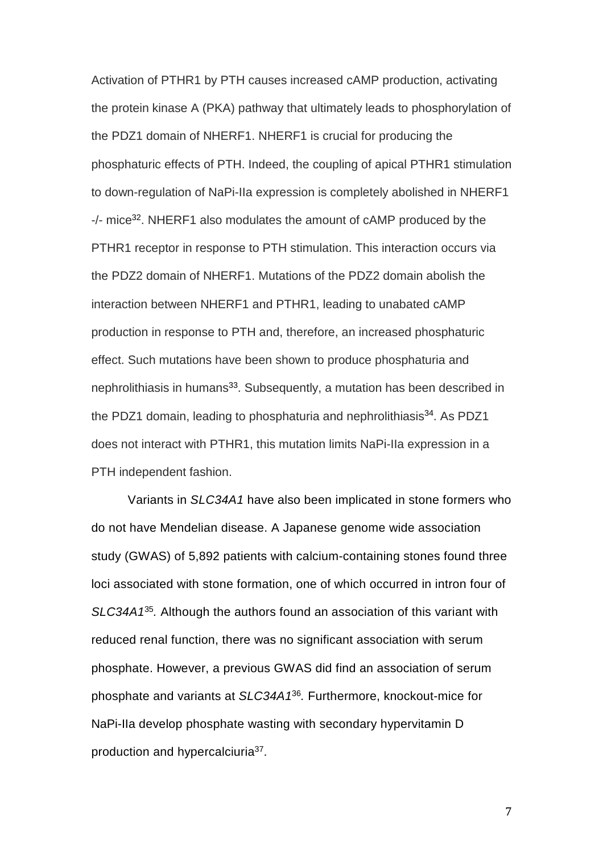Activation of PTHR1 by PTH causes increased cAMP production, activating the protein kinase A (PKA) pathway that ultimately leads to phosphorylation of the PDZ1 domain of NHERF1. NHERF1 is crucial for producing the phosphaturic effects of PTH. Indeed, the coupling of apical PTHR1 stimulation to down-regulation of NaPi-IIa expression is completely abolished in NHERF1 -/- mice<sup>32</sup>. NHERF1 also modulates the amount of cAMP produced by the PTHR1 receptor in response to PTH stimulation. This interaction occurs via the PDZ2 domain of NHERF1. Mutations of the PDZ2 domain abolish the interaction between NHERF1 and PTHR1, leading to unabated cAMP production in response to PTH and, therefore, an increased phosphaturic effect. Such mutations have been shown to produce phosphaturia and nephrolithiasis in humans<sup>33</sup>. Subsequently, a mutation has been described in the PDZ1 domain, leading to phosphaturia and nephrolithiasis<sup>34</sup>. As PDZ1 does not interact with PTHR1, this mutation limits NaPi-IIa expression in a PTH independent fashion.

Variants in *SLC34A1* have also been implicated in stone formers who do not have Mendelian disease. A Japanese genome wide association study (GWAS) of 5,892 patients with calcium-containing stones found three loci associated with stone formation, one of which occurred in intron four of *SLC34A1*<sup>35</sup> *.* Although the authors found an association of this variant with reduced renal function, there was no significant association with serum phosphate. However, a previous GWAS did find an association of serum phosphate and variants at *SLC34A1*<sup>36</sup> *.* Furthermore, knockout-mice for NaPi-IIa develop phosphate wasting with secondary hypervitamin D production and hypercalciuria<sup>37</sup>.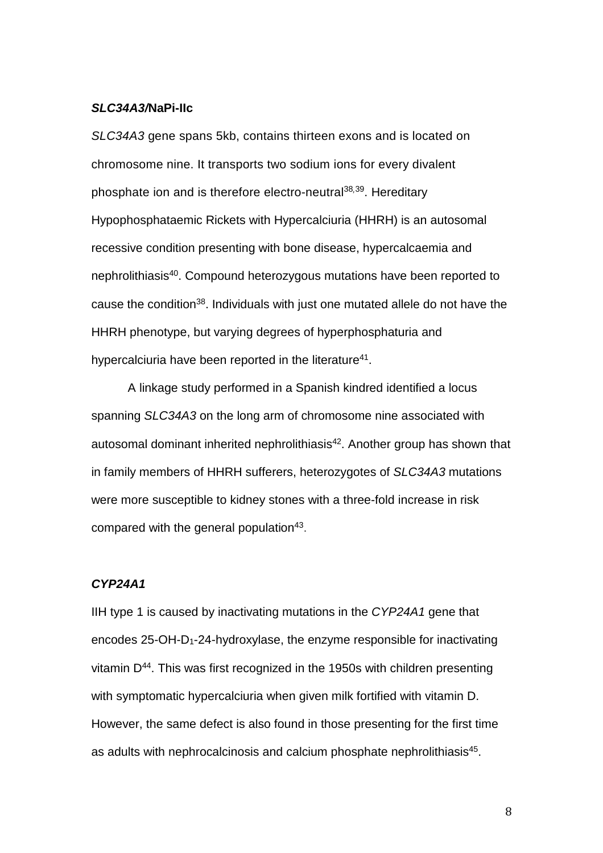#### *SLC34A3/***NaPi-IIc**

*SLC34A3* gene spans 5kb, contains thirteen exons and is located on chromosome nine. It transports two sodium ions for every divalent phosphate ion and is therefore electro-neutral<sup>38</sup>*,*<sup>39</sup>. Hereditary Hypophosphataemic Rickets with Hypercalciuria (HHRH) is an autosomal recessive condition presenting with bone disease, hypercalcaemia and nephrolithiasis<sup>40</sup>. Compound heterozygous mutations have been reported to cause the condition<sup>38</sup>. Individuals with just one mutated allele do not have the HHRH phenotype, but varying degrees of hyperphosphaturia and hypercalciuria have been reported in the literature<sup>41</sup>.

A linkage study performed in a Spanish kindred identified a locus spanning *SLC34A3* on the long arm of chromosome nine associated with autosomal dominant inherited nephrolithiasis<sup>42</sup>. Another group has shown that in family members of HHRH sufferers, heterozygotes of *SLC34A3* mutations were more susceptible to kidney stones with a three-fold increase in risk compared with the general population<sup>43</sup>.

#### *CYP24A1*

IIH type 1 is caused by inactivating mutations in the *CYP24A1* gene that encodes 25-OH-D1-24-hydroxylase, the enzyme responsible for inactivating vitamin D<sup>44</sup>. This was first recognized in the 1950s with children presenting with symptomatic hypercalciuria when given milk fortified with vitamin D. However, the same defect is also found in those presenting for the first time as adults with nephrocalcinosis and calcium phosphate nephrolithiasis<sup>45</sup>.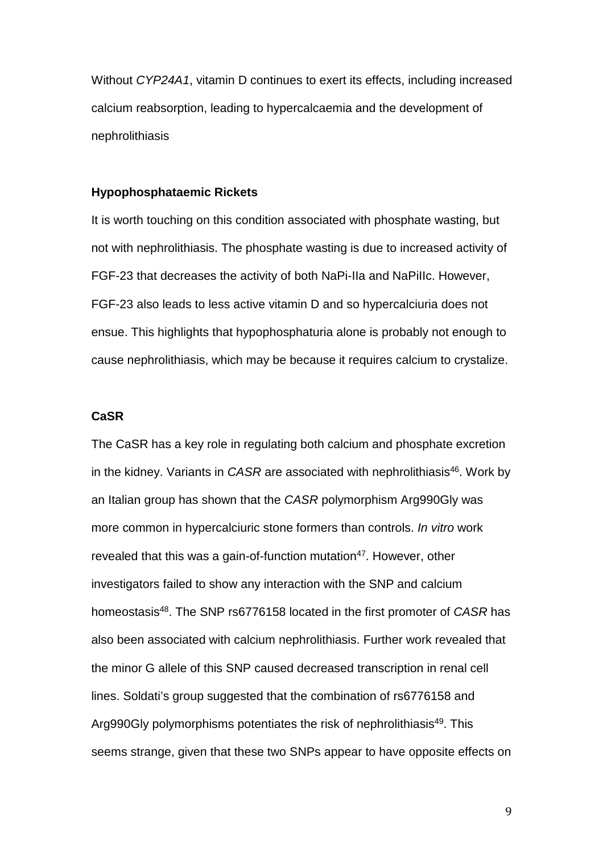Without *CYP24A1*, vitamin D continues to exert its effects, including increased calcium reabsorption, leading to hypercalcaemia and the development of nephrolithiasis

#### **Hypophosphataemic Rickets**

It is worth touching on this condition associated with phosphate wasting, but not with nephrolithiasis. The phosphate wasting is due to increased activity of FGF-23 that decreases the activity of both NaPi-IIa and NaPiIIc. However, FGF-23 also leads to less active vitamin D and so hypercalciuria does not ensue. This highlights that hypophosphaturia alone is probably not enough to cause nephrolithiasis, which may be because it requires calcium to crystalize.

#### **CaSR**

The CaSR has a key role in regulating both calcium and phosphate excretion in the kidney. Variants in *CASR* are associated with nephrolithiasis<sup>46</sup>. Work by an Italian group has shown that the *CASR* polymorphism Arg990Gly was more common in hypercalciuric stone formers than controls. *In vitro* work revealed that this was a gain-of-function mutation<sup>47</sup>. However, other investigators failed to show any interaction with the SNP and calcium homeostasis<sup>48</sup>. The SNP rs6776158 located in the first promoter of *CASR* has also been associated with calcium nephrolithiasis. Further work revealed that the minor G allele of this SNP caused decreased transcription in renal cell lines. Soldati's group suggested that the combination of rs6776158 and Arg990Gly polymorphisms potentiates the risk of nephrolithiasis<sup>49</sup>. This seems strange, given that these two SNPs appear to have opposite effects on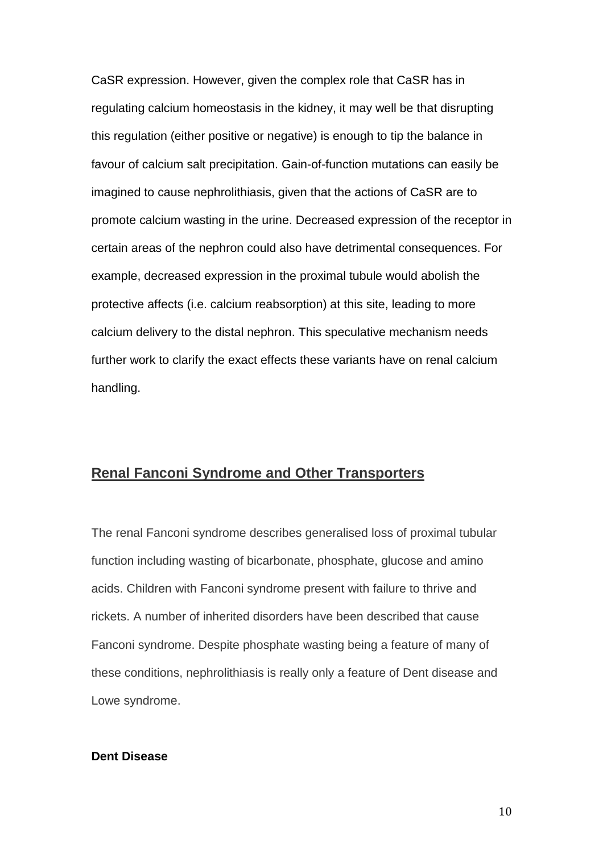CaSR expression. However, given the complex role that CaSR has in regulating calcium homeostasis in the kidney, it may well be that disrupting this regulation (either positive or negative) is enough to tip the balance in favour of calcium salt precipitation. Gain-of-function mutations can easily be imagined to cause nephrolithiasis, given that the actions of CaSR are to promote calcium wasting in the urine. Decreased expression of the receptor in certain areas of the nephron could also have detrimental consequences. For example, decreased expression in the proximal tubule would abolish the protective affects (i.e. calcium reabsorption) at this site, leading to more calcium delivery to the distal nephron. This speculative mechanism needs further work to clarify the exact effects these variants have on renal calcium handling.

## **Renal Fanconi Syndrome and Other Transporters**

The renal Fanconi syndrome describes generalised loss of proximal tubular function including wasting of bicarbonate, phosphate, glucose and amino acids. Children with Fanconi syndrome present with failure to thrive and rickets. A number of inherited disorders have been described that cause Fanconi syndrome. Despite phosphate wasting being a feature of many of these conditions, nephrolithiasis is really only a feature of Dent disease and Lowe syndrome.

#### **Dent Disease**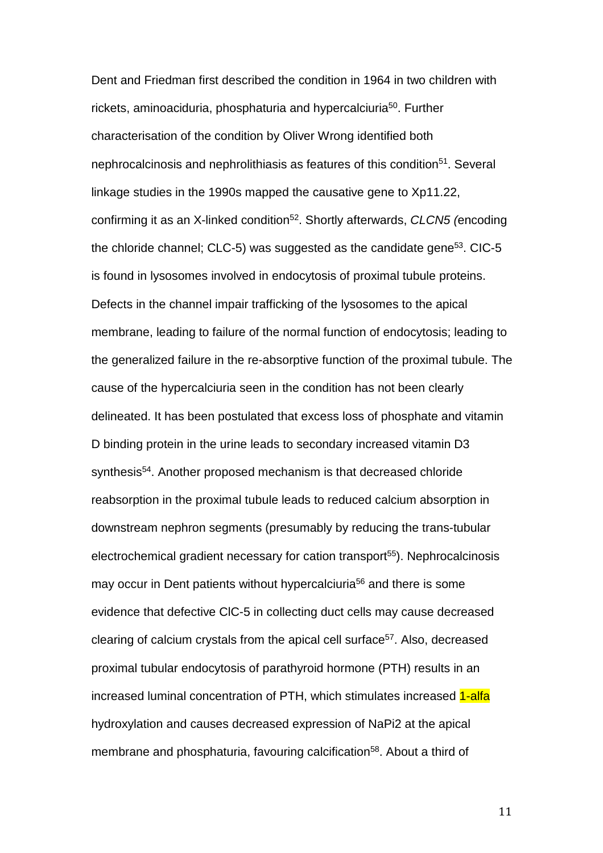Dent and Friedman first described the condition in 1964 in two children with rickets, aminoaciduria, phosphaturia and hypercalciuria<sup>50</sup>. Further characterisation of the condition by Oliver Wrong identified both nephrocalcinosis and nephrolithiasis as features of this condition<sup>51</sup>. Several linkage studies in the 1990s mapped the causative gene to Xp11.22, confirming it as an X-linked condition<sup>52</sup>. Shortly afterwards, *CLCN5 (*encoding the chloride channel;  $CLC-5$ ) was suggested as the candidate gene<sup>53</sup>.  $ClC-5$ is found in lysosomes involved in endocytosis of proximal tubule proteins. Defects in the channel impair trafficking of the lysosomes to the apical membrane, leading to failure of the normal function of endocytosis; leading to the generalized failure in the re-absorptive function of the proximal tubule. The cause of the hypercalciuria seen in the condition has not been clearly delineated. It has been postulated that excess loss of phosphate and vitamin D binding protein in the urine leads to secondary increased vitamin D3 synthesis<sup>54</sup>. Another proposed mechanism is that decreased chloride reabsorption in the proximal tubule leads to reduced calcium absorption in downstream nephron segments (presumably by reducing the trans-tubular electrochemical gradient necessary for cation transport<sup>55</sup>). Nephrocalcinosis may occur in Dent patients without hypercalciuria<sup>56</sup> and there is some evidence that defective ClC-5 in collecting duct cells may cause decreased clearing of calcium crystals from the apical cell surface<sup>57</sup>. Also, decreased proximal tubular endocytosis of parathyroid hormone (PTH) results in an increased luminal concentration of PTH, which stimulates increased 1-alfa hydroxylation and causes decreased expression of NaPi2 at the apical membrane and phosphaturia, favouring calcification<sup>58</sup>. About a third of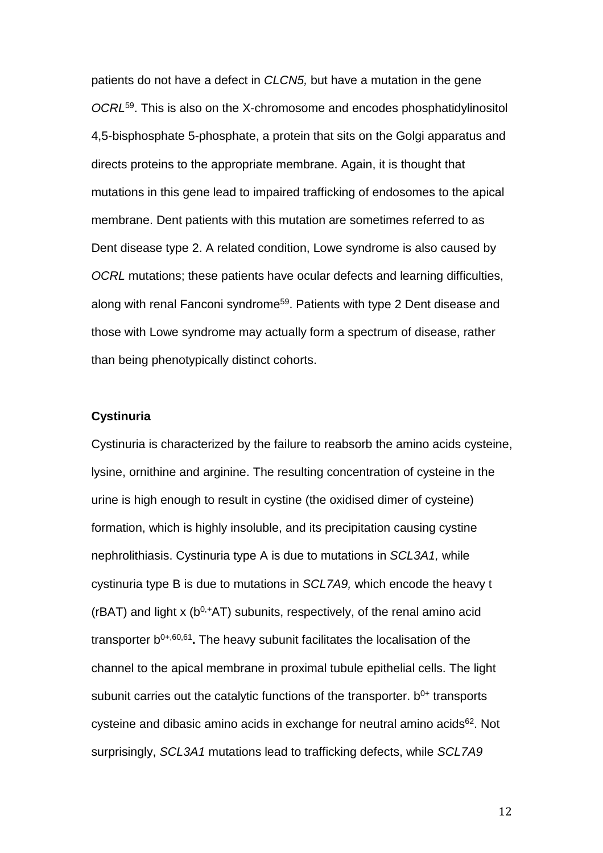patients do not have a defect in *CLCN5,* but have a mutation in the gene *OCRL*<sup>59</sup>. This is also on the X-chromosome and encodes phosphatidylinositol 4,5-bisphosphate 5-phosphate, a protein that sits on the Golgi apparatus and directs proteins to the appropriate membrane. Again, it is thought that mutations in this gene lead to impaired trafficking of endosomes to the apical membrane. Dent patients with this mutation are sometimes referred to as Dent disease type 2. A related condition, Lowe syndrome is also caused by *OCRL* mutations; these patients have ocular defects and learning difficulties, along with renal Fanconi syndrome<sup>59</sup>. Patients with type 2 Dent disease and those with Lowe syndrome may actually form a spectrum of disease, rather than being phenotypically distinct cohorts.

#### **Cystinuria**

Cystinuria is characterized by the failure to reabsorb the amino acids cysteine, lysine, ornithine and arginine. The resulting concentration of cysteine in the urine is high enough to result in cystine (the oxidised dimer of cysteine) formation, which is highly insoluble, and its precipitation causing cystine nephrolithiasis. Cystinuria type A is due to mutations in *SCL3A1,* while cystinuria type B is due to mutations in *SCL7A9,* which encode the heavy t ( $rBAT$ ) and light x ( $b^{0,+}AT$ ) subunits, respectively, of the renal amino acid transporter b0+,60,61 **.** The heavy subunit facilitates the localisation of the channel to the apical membrane in proximal tubule epithelial cells. The light subunit carries out the catalytic functions of the transporter.  $b^{0+}$  transports cysteine and dibasic amino acids in exchange for neutral amino acids $62$ . Not surprisingly, *SCL3A1* mutations lead to trafficking defects, while *SCL7A9*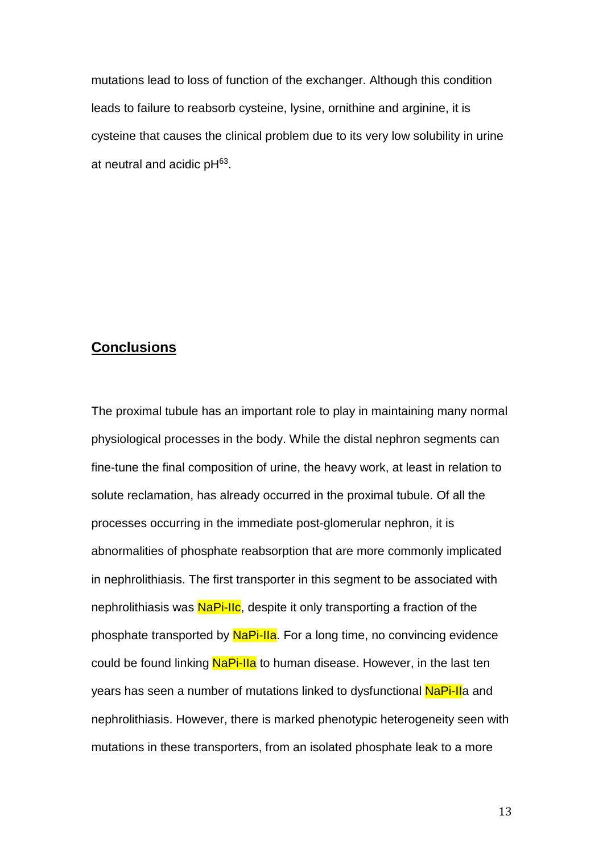mutations lead to loss of function of the exchanger. Although this condition leads to failure to reabsorb cysteine, lysine, ornithine and arginine, it is cysteine that causes the clinical problem due to its very low solubility in urine at neutral and acidic pH $63$ .

# **Conclusions**

The proximal tubule has an important role to play in maintaining many normal physiological processes in the body. While the distal nephron segments can fine-tune the final composition of urine, the heavy work, at least in relation to solute reclamation, has already occurred in the proximal tubule. Of all the processes occurring in the immediate post-glomerular nephron, it is abnormalities of phosphate reabsorption that are more commonly implicated in nephrolithiasis. The first transporter in this segment to be associated with nephrolithiasis was NaPi-IIc, despite it only transporting a fraction of the phosphate transported by NaPi-IIa. For a long time, no convincing evidence could be found linking NaPi-IIa to human disease. However, in the last ten years has seen a number of mutations linked to dysfunctional NaPi-IIa and nephrolithiasis. However, there is marked phenotypic heterogeneity seen with mutations in these transporters, from an isolated phosphate leak to a more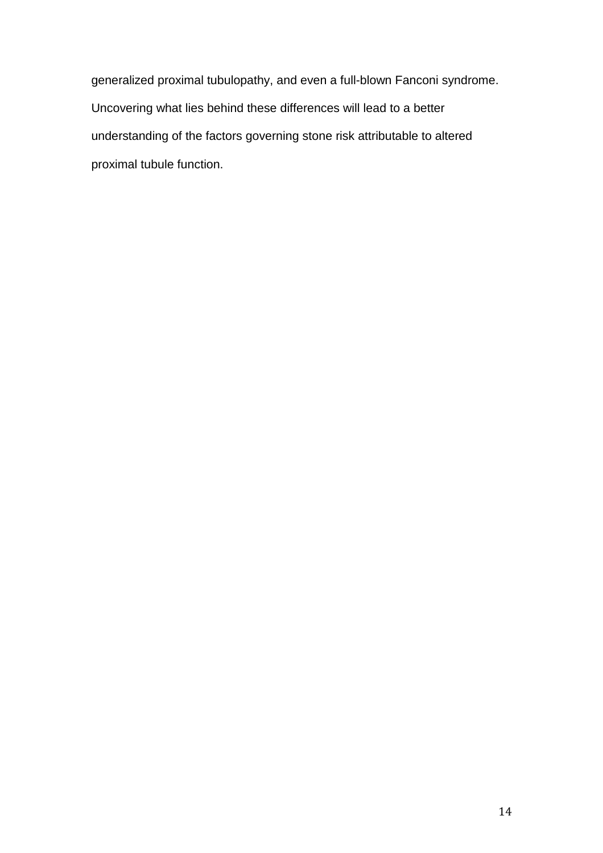generalized proximal tubulopathy, and even a full-blown Fanconi syndrome. Uncovering what lies behind these differences will lead to a better understanding of the factors governing stone risk attributable to altered proximal tubule function.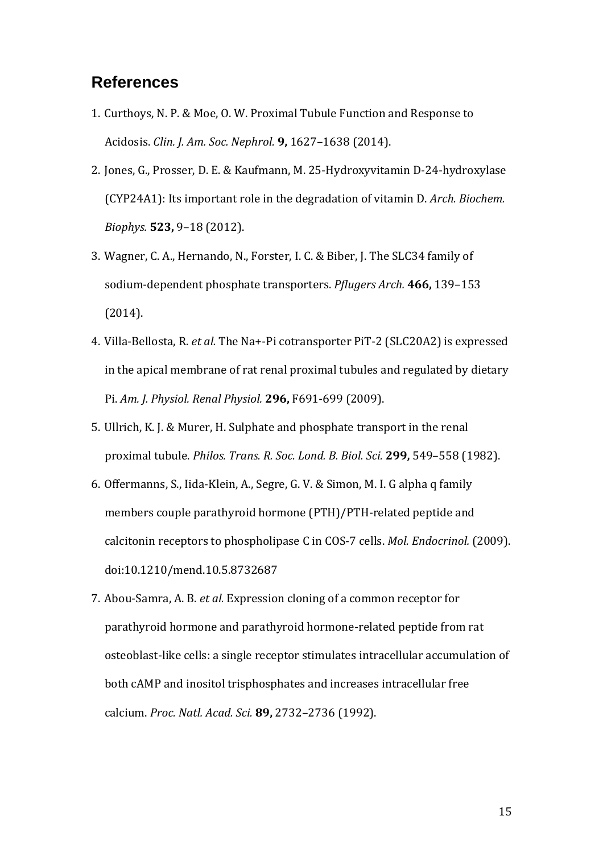# **References**

- 1. Curthoys, N. P. & Moe, O. W. Proximal Tubule Function and Response to Acidosis. *Clin. J. Am. Soc. Nephrol.* **9,** 1627–1638 (2014).
- 2. Jones, G., Prosser, D. E. & Kaufmann, M. 25-Hydroxyvitamin D-24-hydroxylase (CYP24A1): Its important role in the degradation of vitamin D. *Arch. Biochem. Biophys.* **523,** 9–18 (2012).
- 3. Wagner, C. A., Hernando, N., Forster, I. C. & Biber, J. The SLC34 family of sodium-dependent phosphate transporters. *Pflugers Arch.* **466,** 139–153 (2014).
- 4. Villa-Bellosta, R. *et al.* The Na+-Pi cotransporter PiT-2 (SLC20A2) is expressed in the apical membrane of rat renal proximal tubules and regulated by dietary Pi. *Am. J. Physiol. Renal Physiol.* **296,** F691-699 (2009).
- 5. Ullrich, K. J. & Murer, H. Sulphate and phosphate transport in the renal proximal tubule. *Philos. Trans. R. Soc. Lond. B. Biol. Sci.* **299,** 549–558 (1982).
- 6. Offermanns, S., Iida-Klein, A., Segre, G. V. & Simon, M. I. G alpha q family members couple parathyroid hormone (PTH)/PTH-related peptide and calcitonin receptors to phospholipase C in COS-7 cells. *Mol. Endocrinol.* (2009). doi:10.1210/mend.10.5.8732687
- 7. Abou-Samra, A. B. *et al.* Expression cloning of a common receptor for parathyroid hormone and parathyroid hormone-related peptide from rat osteoblast-like cells: a single receptor stimulates intracellular accumulation of both cAMP and inositol trisphosphates and increases intracellular free calcium. *Proc. Natl. Acad. Sci.* **89,** 2732–2736 (1992).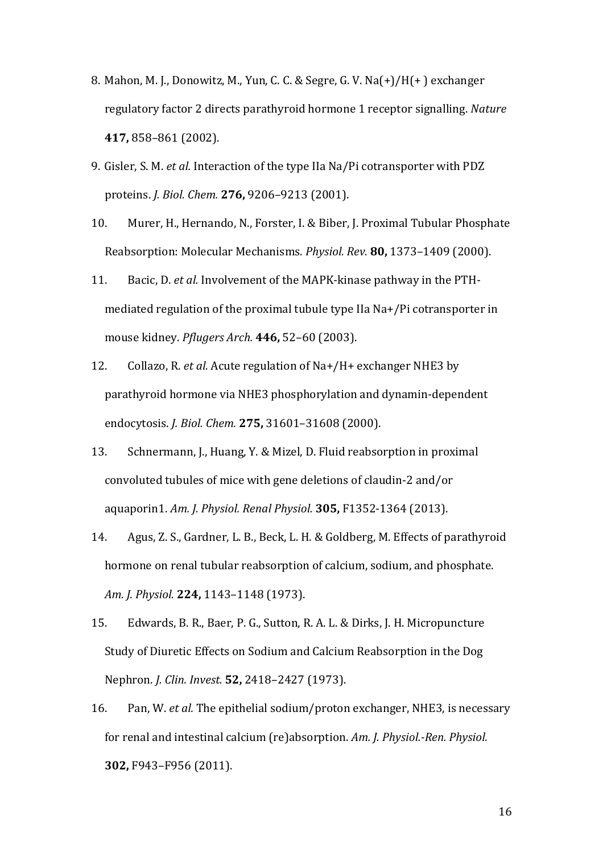- 8. Mahon, M. J., Donowitz, M., Yun, C. C. & Segre, G. V. Na(+)/H(+ ) exchanger regulatory factor 2 directs parathyroid hormone 1 receptor signalling. *Nature* **417,** 858–861 (2002).
- 9. Gisler, S. M. *et al.* Interaction of the type IIa Na/Pi cotransporter with PDZ proteins. *J. Biol. Chem.* **276,** 9206–9213 (2001).
- 10. Murer, H., Hernando, N., Forster, I. & Biber, J. Proximal Tubular Phosphate Reabsorption: Molecular Mechanisms. *Physiol. Rev.* **80,** 1373–1409 (2000).
- 11. Bacic, D. *et al.* Involvement of the MAPK-kinase pathway in the PTHmediated regulation of the proximal tubule type IIa Na+/Pi cotransporter in mouse kidney. *Pflugers Arch.* **446,** 52–60 (2003).
- 12. Collazo, R. *et al.* Acute regulation of Na+/H+ exchanger NHE3 by parathyroid hormone via NHE3 phosphorylation and dynamin-dependent endocytosis. *J. Biol. Chem.* **275,** 31601–31608 (2000).
- 13. Schnermann, J., Huang, Y. & Mizel, D. Fluid reabsorption in proximal convoluted tubules of mice with gene deletions of claudin-2 and/or aquaporin1. *Am. J. Physiol. Renal Physiol.* **305,** F1352-1364 (2013).
- 14. Agus, Z. S., Gardner, L. B., Beck, L. H. & Goldberg, M. Effects of parathyroid hormone on renal tubular reabsorption of calcium, sodium, and phosphate. *Am. J. Physiol.* **224,** 1143–1148 (1973).
- 15. Edwards, B. R., Baer, P. G., Sutton, R. A. L. & Dirks, J. H. Micropuncture Study of Diuretic Effects on Sodium and Calcium Reabsorption in the Dog Nephron. *J. Clin. Invest.* **52,** 2418–2427 (1973).
- 16. Pan, W. *et al.* The epithelial sodium/proton exchanger, NHE3, is necessary for renal and intestinal calcium (re)absorption. *Am. J. Physiol.-Ren. Physiol.* **302,** F943–F956 (2011).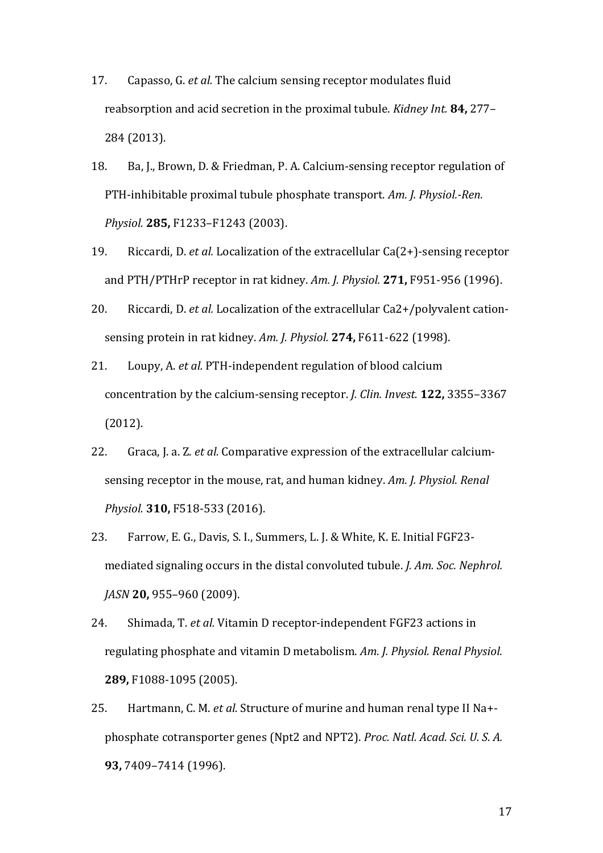- 17. Capasso, G. *et al.* The calcium sensing receptor modulates fluid reabsorption and acid secretion in the proximal tubule. *Kidney Int.* **84,** 277– 284 (2013).
- 18. Ba, J., Brown, D. & Friedman, P. A. Calcium-sensing receptor regulation of PTH-inhibitable proximal tubule phosphate transport. *Am. J. Physiol.-Ren. Physiol.* **285,** F1233–F1243 (2003).
- 19. Riccardi, D. *et al.* Localization of the extracellular Ca(2+)-sensing receptor and PTH/PTHrP receptor in rat kidney. *Am. J. Physiol.* **271,** F951-956 (1996).
- 20. Riccardi, D. *et al.* Localization of the extracellular Ca2+/polyvalent cationsensing protein in rat kidney. *Am. J. Physiol.* **274,** F611-622 (1998).
- 21. Loupy, A. *et al.* PTH-independent regulation of blood calcium concentration by the calcium-sensing receptor. *J. Clin. Invest.* **122,** 3355–3367 (2012).
- 22. Graca, J. a. Z. *et al.* Comparative expression of the extracellular calciumsensing receptor in the mouse, rat, and human kidney. *Am. J. Physiol. Renal Physiol.* **310,** F518-533 (2016).
- 23. Farrow, E. G., Davis, S. I., Summers, L. J. & White, K. E. Initial FGF23 mediated signaling occurs in the distal convoluted tubule. *J. Am. Soc. Nephrol. JASN* **20,** 955–960 (2009).
- 24. Shimada, T. *et al.* Vitamin D receptor-independent FGF23 actions in regulating phosphate and vitamin D metabolism. *Am. J. Physiol. Renal Physiol.* **289,** F1088-1095 (2005).
- 25. Hartmann, C. M. *et al.* Structure of murine and human renal type II Na+ phosphate cotransporter genes (Npt2 and NPT2). *Proc. Natl. Acad. Sci. U. S. A.* **93,** 7409–7414 (1996).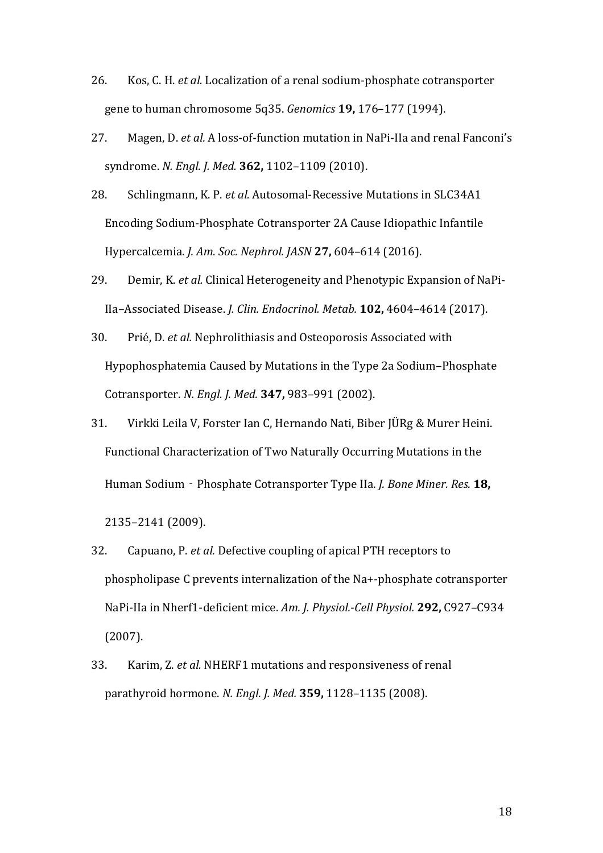- 26. Kos, C. H. *et al.* Localization of a renal sodium-phosphate cotransporter gene to human chromosome 5q35. *Genomics* **19,** 176–177 (1994).
- 27. Magen, D. *et al.* A loss-of-function mutation in NaPi-IIa and renal Fanconi's syndrome. *N. Engl. J. Med.* **362,** 1102–1109 (2010).
- 28. Schlingmann, K. P. *et al.* Autosomal-Recessive Mutations in SLC34A1 Encoding Sodium-Phosphate Cotransporter 2A Cause Idiopathic Infantile Hypercalcemia. *J. Am. Soc. Nephrol. JASN* **27,** 604–614 (2016).
- 29. Demir, K. *et al.* Clinical Heterogeneity and Phenotypic Expansion of NaPi-IIa–Associated Disease. *J. Clin. Endocrinol. Metab.* **102,** 4604–4614 (2017).
- 30. Prié, D. *et al.* Nephrolithiasis and Osteoporosis Associated with Hypophosphatemia Caused by Mutations in the Type 2a Sodium–Phosphate Cotransporter. *N. Engl. J. Med.* **347,** 983–991 (2002).
- 31. Virkki Leila V, Forster Ian C, Hernando Nati, Biber JÜRg & Murer Heini. Functional Characterization of Two Naturally Occurring Mutations in the Human Sodium‐Phosphate Cotransporter Type IIa. *J. Bone Miner. Res.* **18,**

2135–2141 (2009).

- 32. Capuano, P. *et al.* Defective coupling of apical PTH receptors to phospholipase C prevents internalization of the Na+-phosphate cotransporter NaPi-IIa in Nherf1-deficient mice. *Am. J. Physiol.-Cell Physiol.* **292,** C927–C934 (2007).
- 33. Karim, Z. *et al.* NHERF1 mutations and responsiveness of renal parathyroid hormone. *N. Engl. J. Med.* **359,** 1128–1135 (2008).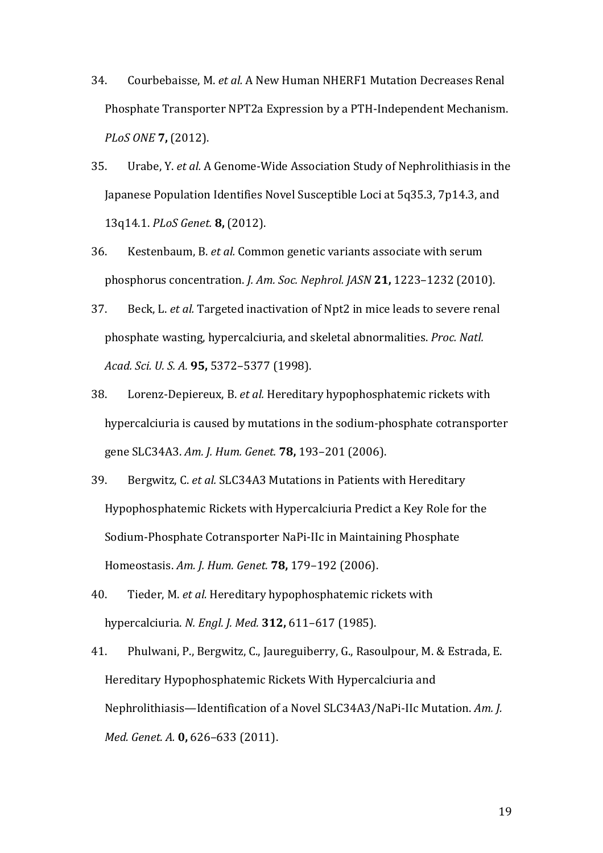- 34. Courbebaisse, M. *et al.* A New Human NHERF1 Mutation Decreases Renal Phosphate Transporter NPT2a Expression by a PTH-Independent Mechanism. *PLoS ONE* **7,** (2012).
- 35. Urabe, Y. *et al.* A Genome-Wide Association Study of Nephrolithiasis in the Japanese Population Identifies Novel Susceptible Loci at 5q35.3, 7p14.3, and 13q14.1. *PLoS Genet.* **8,** (2012).
- 36. Kestenbaum, B. *et al.* Common genetic variants associate with serum phosphorus concentration. *J. Am. Soc. Nephrol. JASN* **21,** 1223–1232 (2010).
- 37. Beck, L. *et al.* Targeted inactivation of Npt2 in mice leads to severe renal phosphate wasting, hypercalciuria, and skeletal abnormalities. *Proc. Natl. Acad. Sci. U. S. A.* **95,** 5372–5377 (1998).
- 38. Lorenz-Depiereux, B. *et al.* Hereditary hypophosphatemic rickets with hypercalciuria is caused by mutations in the sodium-phosphate cotransporter gene SLC34A3. *Am. J. Hum. Genet.* **78,** 193–201 (2006).
- 39. Bergwitz, C. *et al.* SLC34A3 Mutations in Patients with Hereditary Hypophosphatemic Rickets with Hypercalciuria Predict a Key Role for the Sodium-Phosphate Cotransporter NaPi-IIc in Maintaining Phosphate Homeostasis. *Am. J. Hum. Genet.* **78,** 179–192 (2006).
- 40. Tieder, M. *et al.* Hereditary hypophosphatemic rickets with hypercalciuria. *N. Engl. J. Med.* **312,** 611–617 (1985).
- 41. Phulwani, P., Bergwitz, C., Jaureguiberry, G., Rasoulpour, M. & Estrada, E. Hereditary Hypophosphatemic Rickets With Hypercalciuria and Nephrolithiasis—Identification of a Novel SLC34A3/NaPi-IIc Mutation. *Am. J. Med. Genet. A.* **0,** 626–633 (2011).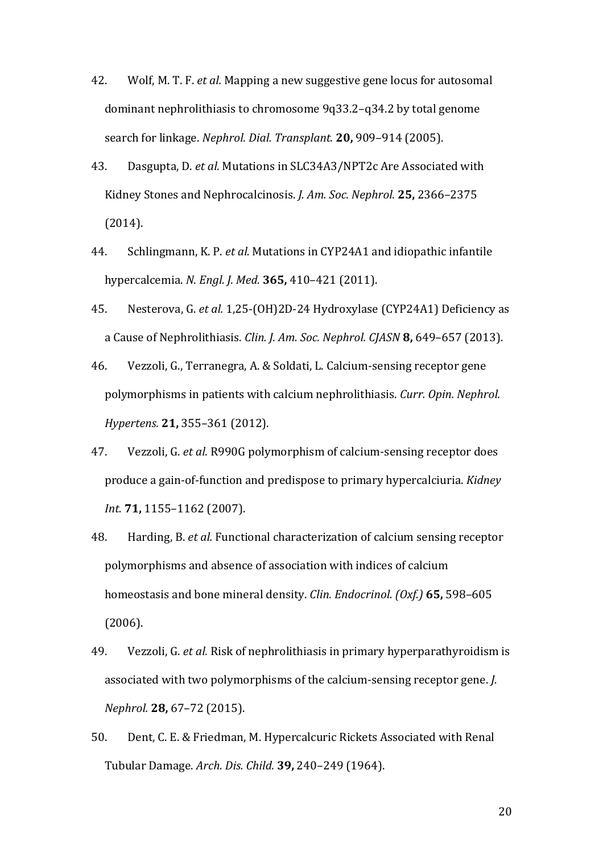- 42. Wolf, M. T. F. *et al.* Mapping a new suggestive gene locus for autosomal dominant nephrolithiasis to chromosome 9q33.2–q34.2 by total genome search for linkage. *Nephrol. Dial. Transplant.* **20,** 909–914 (2005).
- 43. Dasgupta, D. *et al.* Mutations in SLC34A3/NPT2c Are Associated with Kidney Stones and Nephrocalcinosis. *J. Am. Soc. Nephrol.* **25,** 2366–2375 (2014).
- 44. Schlingmann, K. P. *et al.* Mutations in CYP24A1 and idiopathic infantile hypercalcemia. *N. Engl. J. Med.* **365,** 410–421 (2011).
- 45. Nesterova, G. *et al.* 1,25-(OH)2D-24 Hydroxylase (CYP24A1) Deficiency as a Cause of Nephrolithiasis. *Clin. J. Am. Soc. Nephrol. CJASN* **8,** 649–657 (2013).
- 46. Vezzoli, G., Terranegra, A. & Soldati, L. Calcium-sensing receptor gene polymorphisms in patients with calcium nephrolithiasis. *Curr. Opin. Nephrol. Hypertens.* **21,** 355–361 (2012).
- 47. Vezzoli, G. *et al.* R990G polymorphism of calcium-sensing receptor does produce a gain-of-function and predispose to primary hypercalciuria. *Kidney Int.* **71,** 1155–1162 (2007).
- 48. Harding, B. *et al.* Functional characterization of calcium sensing receptor polymorphisms and absence of association with indices of calcium homeostasis and bone mineral density. *Clin. Endocrinol. (Oxf.)* **65,** 598–605 (2006).
- 49. Vezzoli, G. *et al.* Risk of nephrolithiasis in primary hyperparathyroidism is associated with two polymorphisms of the calcium-sensing receptor gene. *J. Nephrol.* **28,** 67–72 (2015).
- 50. Dent, C. E. & Friedman, M. Hypercalcuric Rickets Associated with Renal Tubular Damage. *Arch. Dis. Child.* **39,** 240–249 (1964).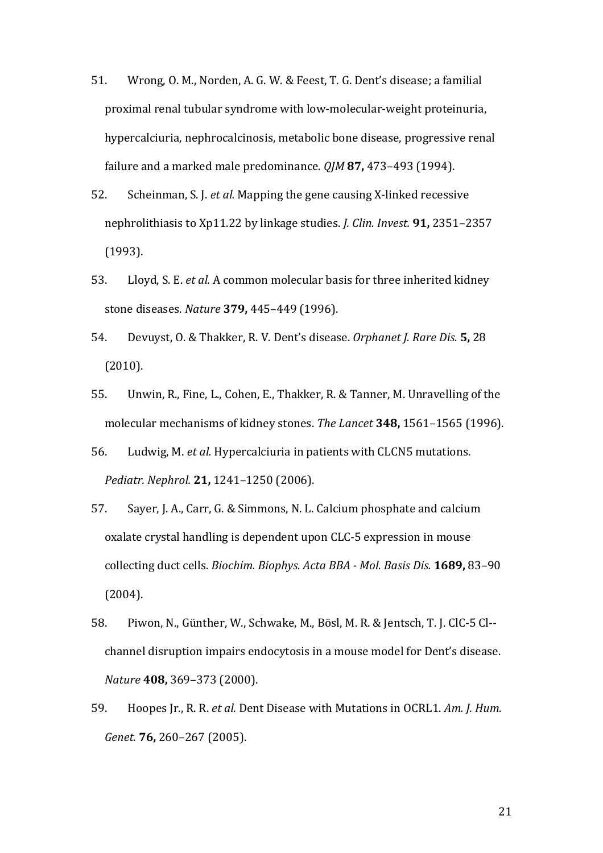- 51. Wrong, O. M., Norden, A. G. W. & Feest, T. G. Dent's disease; a familial proximal renal tubular syndrome with low-molecular-weight proteinuria, hypercalciuria, nephrocalcinosis, metabolic bone disease, progressive renal failure and a marked male predominance. *QJM* **87,** 473–493 (1994).
- 52. Scheinman, S. J. *et al.* Mapping the gene causing X-linked recessive nephrolithiasis to Xp11.22 by linkage studies. *J. Clin. Invest.* **91,** 2351–2357 (1993).
- 53. Lloyd, S. E. *et al.* A common molecular basis for three inherited kidney stone diseases. *Nature* **379,** 445–449 (1996).
- 54. Devuyst, O. & Thakker, R. V. Dent's disease. *Orphanet J. Rare Dis.* **5,** 28 (2010).
- 55. Unwin, R., Fine, L., Cohen, E., Thakker, R. & Tanner, M. Unravelling of the molecular mechanisms of kidney stones. *The Lancet* **348,** 1561–1565 (1996).
- 56. Ludwig, M. *et al.* Hypercalciuria in patients with CLCN5 mutations. *Pediatr. Nephrol.* **21,** 1241–1250 (2006).
- 57. Sayer, J. A., Carr, G. & Simmons, N. L. Calcium phosphate and calcium oxalate crystal handling is dependent upon CLC-5 expression in mouse collecting duct cells. *Biochim. Biophys. Acta BBA - Mol. Basis Dis.* **1689,** 83–90 (2004).
- 58. Piwon, N., Günther, W., Schwake, M., Bösl, M. R. & Jentsch, T. J. ClC-5 Cl- channel disruption impairs endocytosis in a mouse model for Dent's disease. *Nature* **408,** 369–373 (2000).
- 59. Hoopes Jr., R. R. *et al.* Dent Disease with Mutations in OCRL1. *Am. J. Hum. Genet.* **76,** 260–267 (2005).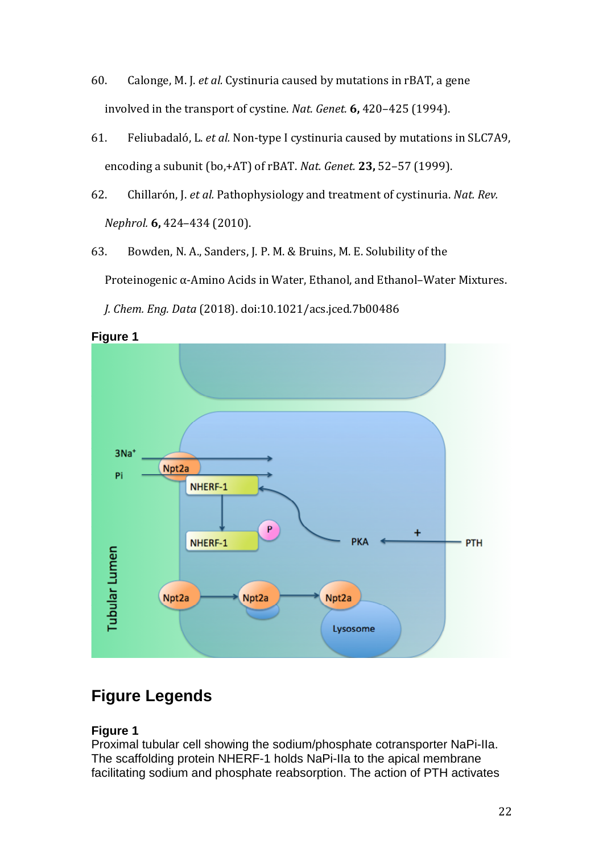- 60. Calonge, M. J. *et al.* Cystinuria caused by mutations in rBAT, a gene involved in the transport of cystine. *Nat. Genet.* **6,** 420–425 (1994).
- 61. Feliubadaló, L. *et al.* Non-type I cystinuria caused by mutations in SLC7A9, encoding a subunit (bo,+AT) of rBAT. *Nat. Genet.* **23,** 52–57 (1999).
- 62. Chillarón, J. *et al.* Pathophysiology and treatment of cystinuria. *Nat. Rev. Nephrol.* **6,** 424–434 (2010).
- 63. Bowden, N. A., Sanders, J. P. M. & Bruins, M. E. Solubility of the Proteinogenic α-Amino Acids in Water, Ethanol, and Ethanol–Water Mixtures.



*J. Chem. Eng. Data* (2018). doi:10.1021/acs.jced.7b00486

# **Figure Legends**

## **Figure 1**

Proximal tubular cell showing the sodium/phosphate cotransporter NaPi-IIa. The scaffolding protein NHERF-1 holds NaPi-IIa to the apical membrane facilitating sodium and phosphate reabsorption. The action of PTH activates